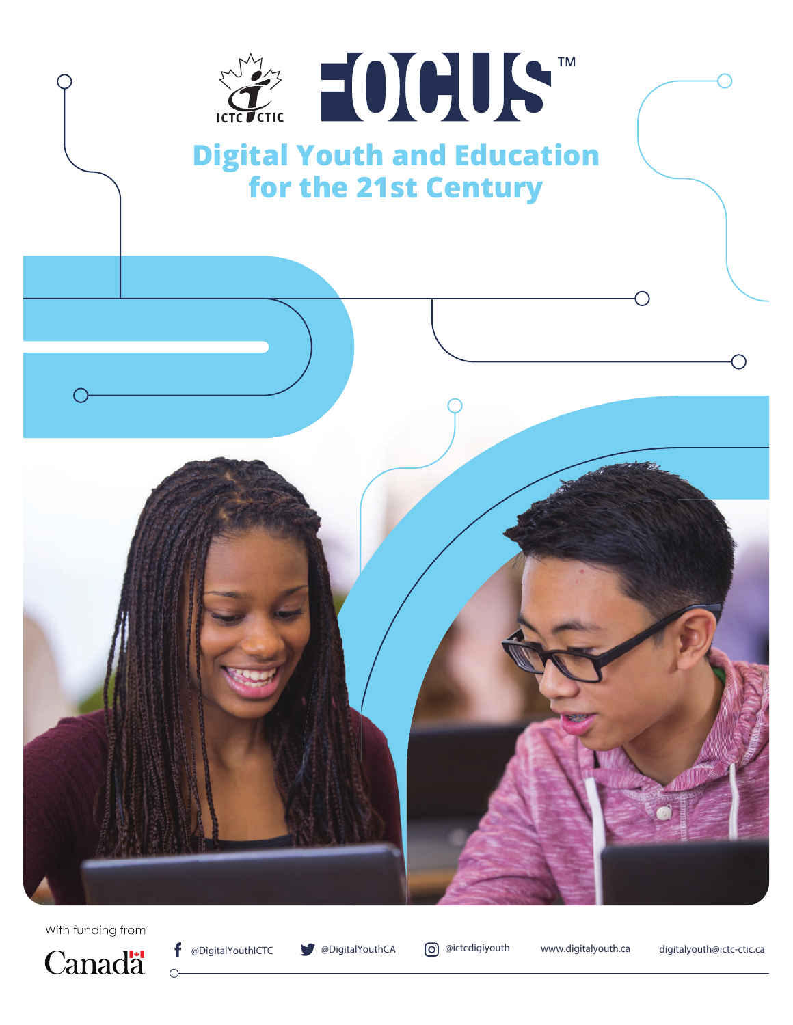

With funding from





 $\subset$ 

**@DigitalYouthICTC @DigitalYouthCA @ictcdigiyouth www.digitalyouth.ca digitalyouth@ictc-ctic.ca**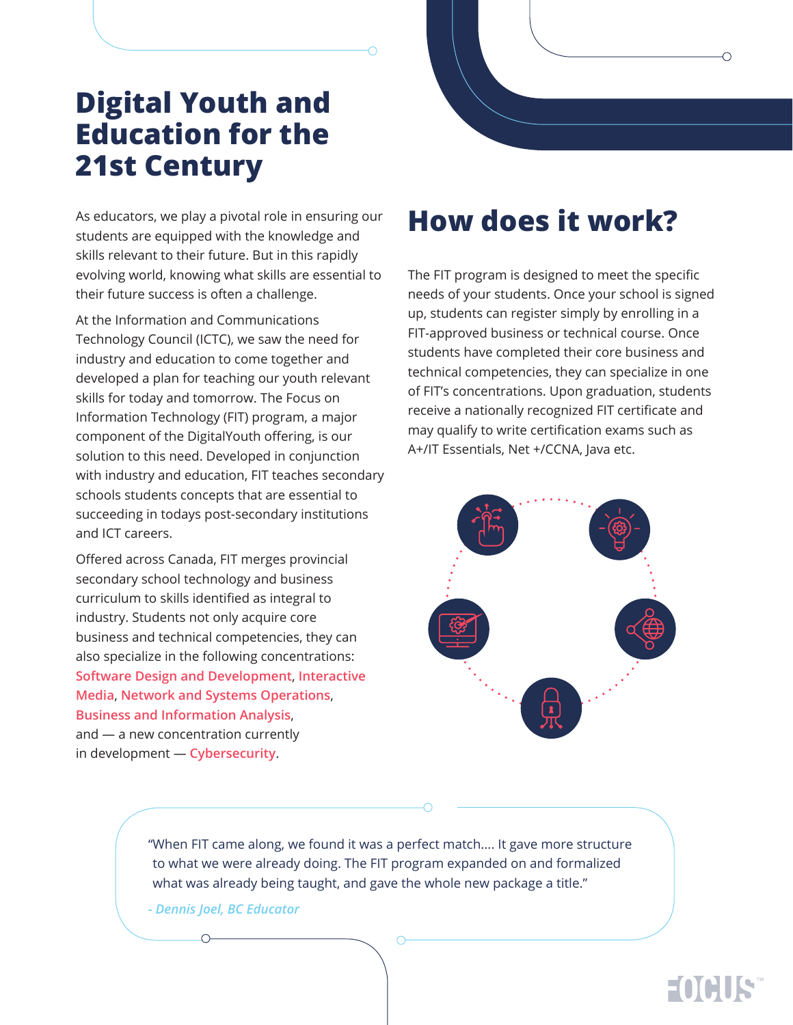## **Digital Youth and Education for the 21st Century**

As educators, we play a pivotal role in ensuring our students are equipped with the knowledge and skills relevant to their future. But in this rapidly evolving world, knowing what skills are essential to their future success is often a challenge.

At the Information and Communications Technology Council (ICTC), we saw the need for industry and education to come together and developed a plan for teaching our youth relevant skills for today and tomorrow. The Focus on Information Technology (FIT) program, a major component of the DigitalYouth offering, is our solution to this need. Developed in conjunction with industry and education, FIT teaches secondary schools students concepts that are essential to succeeding in todays post-secondary institutions and ICT careers.

Offered across Canada, FIT merges provincial secondary school technology and business curriculum to skills identified as integral to industry. Students not only acquire core business and technical competencies, they can also specialize in the following concentrations: **Software Design and Development**, **Interactive Media**, **Network and Systems Operations**, **Business and Information Analysis**, and — a new concentration currently in development — **Cybersecurity**.

#### **How does it work?**

The FIT program is designed to meet the specific needs of your students. Once your school is signed up, students can register simply by enrolling in a FIT-approved business or technical course. Once students have completed their core business and technical competencies, they can specialize in one of FIT's concentrations. Upon graduation, students receive a nationally recognized FIT certificate and may qualify to write certification exams such as A+/IT Essentials, Net +/CCNA, Java etc.



"When FIT came along, we found it was a perfect match.... It gave more structure to what we were already doing. The FIT program expanded on and formalized what was already being taught, and gave the whole new package a title."

*- Dennis Joel, BC Educator*

### EOCHIS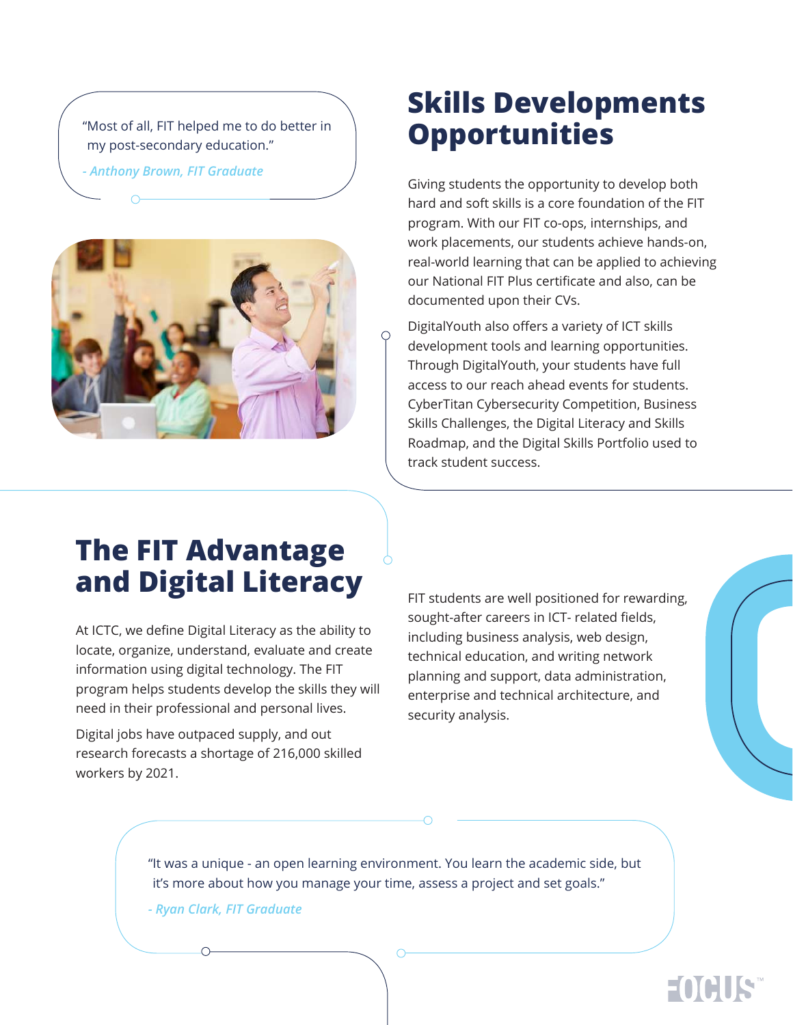"Most of all, FIT helped me to do better in my post-secondary education."

*- Anthony Brown, FIT Graduate*



### **Skills Developments Opportunities**

Giving students the opportunity to develop both hard and soft skills is a core foundation of the FIT program. With our FIT co-ops, internships, and work placements, our students achieve hands-on, real-world learning that can be applied to achieving our National FIT Plus certificate and also, can be documented upon their CVs.

DigitalYouth also offers a variety of ICT skills development tools and learning opportunities. Through DigitalYouth, your students have full access to our reach ahead events for students. CyberTitan Cybersecurity Competition, Business Skills Challenges, the Digital Literacy and Skills Roadmap, and the Digital Skills Portfolio used to track student success.

# **The FIT Advantage and Digital Literacy**

At ICTC, we define Digital Literacy as the ability to locate, organize, understand, evaluate and create information using digital technology. The FIT program helps students develop the skills they will need in their professional and personal lives.

Digital jobs have outpaced supply, and out research forecasts a shortage of 216,000 skilled workers by 2021.

FIT students are well positioned for rewarding, sought-after careers in ICT- related fields, including business analysis, web design, technical education, and writing network planning and support, data administration, enterprise and technical architecture, and security analysis.

"It was a unique - an open learning environment. You learn the academic side, but it's more about how you manage your time, assess a project and set goals."

*- Ryan Clark, FIT Graduate*

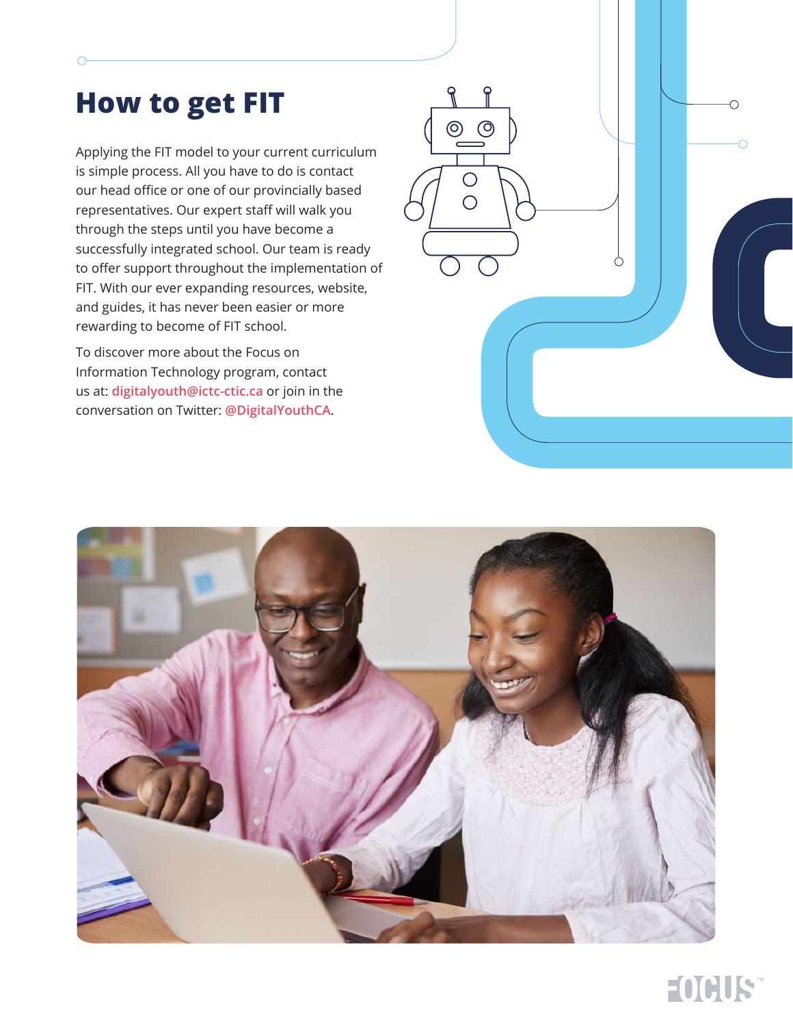# **How to get FIT**

Applying the FIT model to your current curriculum is simple process. All you have to do is contact our head office or one of our provincially based representatives. Our expert staff will walk you through the steps until you have become a successfully integrated school. Our team is ready to offer support throughout the implementation of FIT. With our ever expanding resources, website, and guides, it has never been easier or more rewarding to become of FIT school.

To discover more about the Focus on Information Technology program, contact us at: **digitalyouth@ictc-ctic.ca** or join in the conversation on Twitter: **@DigitalYouthCA**.